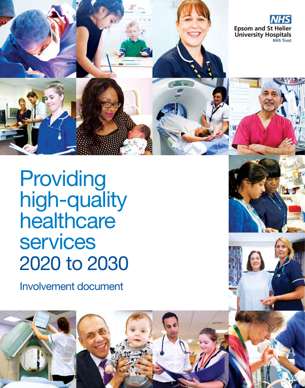

Involvement document





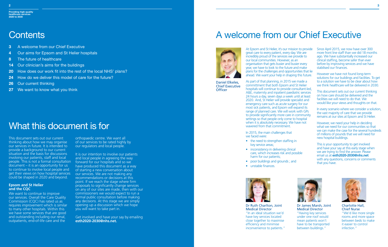At Epsom and St Helier, it's our mission to provide great care to every patient, every day. We are incredibly proud of the services we provide to our local communities. However, as an organisation that gets busier and busier every year, we have to look to the future and make plans for the challenges and opportunities that lie ahead. We want your help in shaping this future.

As part of that planning, in 2015 we made a committment that both Epsom and St Helier hospitals will continue to provide consultant-led, A&E, maternity and inpatient paediatric services 24 hours a day, seven days a week until at least 2020. And, St Helier will provide specialist and emergency care such as acute surgery for our most sick patients, and Epsom will expand its range of planned care. We will work with GPs to provide significantly more care in community settings so that people only come to hospital when it is absolutely necessary. We have not wavered from that commitment.

In 2015, the main challenges that we faced were:

- the need to strengthen staffing in key service areas;
- inconsistency in delivering clinical care, which increases risk and possible harm for our patients;
- poor buildings and grounds; and
- unstable finances.



Since April 2015, we now have over 300 more front line staff than we did 18 months ago. We have substantially increased our clinical staffing, become safer than ever before by improving services and we have stabilised our finances.

Daniel Elkeles, Chief Executive **Officer** 

However we have not found long-term solutions for our buildings and facilities. To get to a solution we have to be clear about how we think healthcare will be delivered in 2030.

This document sets out our current thinking on how care should be delivered and the facilities we will need to do that. We would like your views and thoughts on that.

In every scenario where we consider a solution, the vast majority of care that we provide remains at our sites at Epsom and St Helier.

Get involved and have your say by emailing **esth2020-2030@nhs.net.** 

However, we need your help in deciding what we need for our communities so that we can make the case for the several hundreds of millions of pounds that we will need for new hospital buildings.

This is your opportunity to get involved and have your say at this early stage when we are trying to find the answer. Please email us at **esth2020-2030@nhs.net**  with any questions, concerns or comments that you have.

**Providing high-quality healthcare services 2020 to 2030**

## **Contents**

We want to continue to improve our services. Overall the Care Quality Commission (CQC) has rated us as requires improvement which is similar to many other hospitals. Within this we have some services that are good and outstanding including our renal, outpatients, end-of-life care and the

Dr Ruth Charlton, Joint Medical Director "In an ideal situation we'd have key services located close together to maximise efficiency and minimise inconvenience to patients."



Dr James Marsh, Joint Medical Director "Having key services under one roof would mean patients won't have to be transported between buildings."



Charlotte Hall, Chief Nurse "We'd like more single rooms and more space between beds to make it easier to control infection."

- **3** A welcome from our Chief Executive
- **4** Our aims for Epsom and St Helier hospitals
- **8** The future of healthcare
- **14** Our clinician's aims for the buildings
- **20** How does our work fit into the rest of the local NHS' plans?
- **24** How do we deliver this model of care for the future?
- **26** Our current thinking
- **27** We want to know what you think

## What this document is for

## A welcome from our Chief Executive



orthopaedic centre. We want all of our services to be rated highly by our regulators and local people.

It is our intention to involve our patients and local people in agreeing the way forward for our hospitals and so we have produced this document as a way of starting a new conversation about our services. We are not making any recommendations or decisions at this point. If we reach the stage where firm proposals to significantly change services on any of our sites are made, then with our commissioners we would expect to run a formal public consultation before making any decisions. At this stage we are simply opening up a discussion which we hope you will want to take part in.

This document sets out our current thinking about how we may organise our services in future. It is intended to provide a background to our current situation and the basis for discussions involving our patients, staff and local people. This is not a formal consultation  $document - it is an opportunity for us$ to continue to involve local people and get their views on how hospital services could be shaped in 2020 and beyond.

### **Epsom and St Helier and the CQC**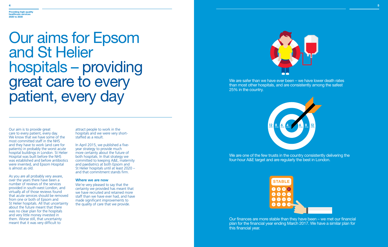attract people to work in the hospitals and we were very shortstaffed as a result.

In April 2015, we published a fiveyear strategy to provide much more certainty about the future of both hospitals. In that strategy we committed to keeping A&E, maternity and paediatrics at both Epsom and St Helier hospitals until at least 2020 – and that commitment stands firm.

### **Where we are now**

We're very pleased to say that the certainty we provided has meant that we have recruited and retained more staff than we have ever had, and have made significant improvements to the quality of care that we provide.



Our aim is to provide great care to every patient, every day. We know that we have some of the most committed staff in the NHS and they have to work (and care for patients) in probably the worst acute hospital buildings in London. St Helier Hospital was built before the NHS was established and before antibiotics were invented, and Epsom Hospital is almost as old.

We are one of the few trusts in the country consistently delivering the four-hour A&E target and are regularly the best in London.

### **Providing high-quality healthcare services 4**<br>Providing hig<br>healthcare s<br>2020 to 2030

# Our aims for Epsom and St Helier hospitals – providing great care to every patient, every day

As you are all probably very aware, over the years there have been a number of reviews of the services provided in south-west London, and virtually all of those reviews found that acute services should be removed from one or both of Epsom and St Helier hospitals. All that uncertainty about the future meant that there was no clear plan for the hospitals and very little money invested in them. Worse still, that uncertainty meant that it was very difficult to

We are safer than we have ever been – we have lower death rates than most other hospitals, and are consistently among the safest 25% in the country.

|  | ST/ |   |
|--|-----|---|
|  |     | 8 |
|  |     | 5 |
|  |     |   |
|  |     |   |
|  |     |   |



Our finances are more stable than they have been – we met our financial plan for the financial year ending March 2017. We have a similar plan for this financial year.

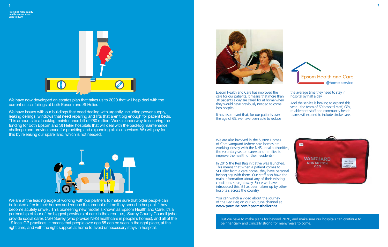We have now developed an estates plan that takes us to 2020 that will help deal with the current critical failings at both Epsom and St Helier.

We have issues with our buildings that need dealing with urgently, including power supply, leaking ceilings, windows that need repairing and lifts that aren't big enough for patient beds. This amounts to a backlog maintenance bill of £80 million. Work is underway to securing the funding for both Epsom and St Helier hospitals that will deal with the backlog maintenance challenge and provide space for providing and expanding clinical services. We will pay for this by releasing our spare land, which is not needed.



We are at the leading edge of working with our partners to make sure that older people can be looked after in their homes and reduce the amount of time they spend in hospital if they become acutely unwell. This pioneering new model is known as Epsom Health and Care. It's a partnership of four of the biggest providers of care in the area – us, Surrey County Council (who provide social care), CSH Surrey (who provide NHS healthcare in people's homes), and all of the 19 local GP practices. It means that people over age 65 can be seen in the right place, at the right time, and with the right support at home to avoid unnecessary stays in hospital.



Epsom Health and Care has improved the care for our patients. It means that more than 30 patients a day are cared for at home when they would have previously needed to come into hospital.

It has also meant that, for our patients over the age of 65, we have been able to reduce

the average time they need to stay in hospital by half a day.

And the service is looking to expand this year – the team of 60 hospital staff, GPs, re-ablement staff and community health teams will expand to include stroke care.







**Epsom Health and Care** @home service

We are also involved in the Sutton Homes of Care vanguard (where care homes are working closely with the NHS, local authorities, the voluntary sector, carers and families to improve the health of their residents).

In 2015 the Red Bag initiative was launched. This means that when a patient comes to St Helier from a care home, they have personal belongings with them. Our staff also have the main information about any of their existing conditions straightaway. Since we have introduced this, it has been taken up by other hospitals across the country.

You can watch a video about the journey of the Red Bag on our Youtube channel at **www.youtube.com/epsomstheliernhs**

But we have to make plans for beyond 2020, and make sure our hospitals can continue to be financially and clinically strong for many years to come.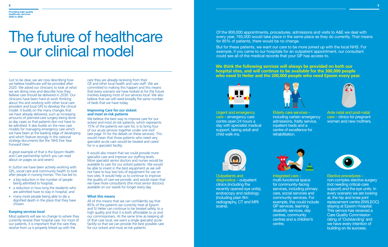# The future of healthcare – our clinical model

Just to be clear, we are now describing how we believe healthcare will be provided after 2020. We asked our clinicians to look at what we are doing now and describe how they believe care should be delivered in 2030. Our clinicians have been hard at work thinking about this and working with other local care providers and local GPs to develop the clinical model. It builds on the many changes that we have already delivered, such as increasing amounts of planned-care surgery being done as day cases so that patients don not have to be admitted. It also builds on the new care models for managing emergency care which we have been at the leading edge of developing and which feature strongly in the national strategy documents like the 'NHS Five Year Forward View'.

- a big reduction in the number of people being admitted to hospital;
- a reduction in how long the residents who are admitted have to stay in hospital; and
- many more people being able to die a dignified death in the place that they have chosen.

A great example of that is the Epsom Health and Care partnership (which you can read about on pages six and seven).

In Sutton we have been actively working with GPs, social care and community health to look after people in nursing homes. This has led to:

We believe the best way to improve care for our sickest and most at-risk patients, which represents 15% of the patients we care for, is to bring four of our acute services together under one roof (see page 10 for the details on these services). This would mean that those patients who need very specialist acute care would be treated and cared for in a specialist facility.

### **Keeping services local**

Most patients will see no change to where they currently receive their hospital care. For most of our patients, it is important that the care they receive from us is properly linked up with the

**We think the following services will always be provided on both our hospital sites, and will continue to be available for the 300,000 people who need St Helier and the 200,000 people who need Epsom every year.**



care they are already receiving from their GP and other local health and care staff. We are committed to making this happen and this means that every scenario we have looked at for the future involves keeping most of our services local. We also believe that we will need broadly the same number of beds that we have today.

### **Improving Care for our sickest and most at-risk patients**

It would also meant that we could provide more specialist care and improve our staffing levels. More specialist senior doctors and nurses would be available to care for our sickest patients. We would be able to invest in the best equipment as we will not have to buy two lots of equipment for use on two sites. It would help us to continue to improve the quality of care we provide, and would mean that we have more consultants (the most senior doctors) available on our wards for longer every day.

### **What this means**

All of this means that we can confidently say that 85% of the patients we currently treat at Epsom and St Helier can continue to be treated safely, to a high quality and that it is both affordable to us and our commissioners. At the same time as keeping all of that care local, we want a single specialist acute facility so that we can provide the best possible care for our sickest and most at-risk patients.

Urgent and emergency care – emergency care centre open 24 hours a day with specialist medical support, taking adult and child walk-ins.



### Outpatients and diagnostics – outpatient clinics (including the recently opened eye units), endoscopy and radiology (including plain film radiography, CT and MRI scans).

Ante natal and post-natal care – clinics for pregnant women and new mothers.



### Elective procedures –

non-complex elective surgery (not needing critical-care support) and the eye units. In every scenario we are looking at, the hip and knee joint replacement centre (SWLEOC) staying at Epsom Hospital. This service has received a Care Quality Commission rating of 'Outstanding' and we have every intention of building on its success.

### **Providing high-quality healthcare services 2020 to 2030**

Elderly care services – including certain emergency admissions, frailty service, inpatient beds and a centre of excellence for rehabilitation.



Integrated care – multi-functional space for community-facing services, including primary care, social services and community services. For example, this could include GP services, learning disability services, day centres, community centres and a children's centre.



Of the 900,000 appointments, procedures, admissions and visits to A&E we deal with every year, 765,000 would take place in the same place as they do currently. That means for 85% of patients, there would be no change.

But for these patients, we want our care to be more joined up with the local NHS. For example, if you came to our hospitals for an outpatient appointment, our consultant could see all of the medical records that your GP has access to.

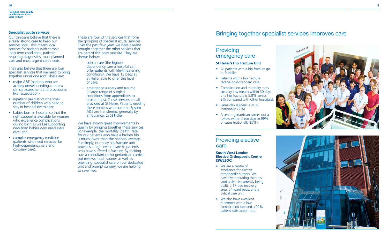### **Specialist acute services**

Our clinicians believe that there is a really strong case to keep our services local. This means local services for patients with chronic long-term conditions, patients requiring diagnostics, most planned care and most urgent care needs.

They also believe that there are four specialist services that we need to bring together under one roof. These are:

- major A&E (patients who are acutely unwell needing complex clinical assessment and procedures like resuscitation);
- inpatient paediatrics (the small number of children who need to stay in hospital overnight);
- babies born in hospital so that the right support is available for women who experience complications during birth as well as supporting new born babies who need extra care; and
- complex emergency medicine (patients who need services like high-dependency care and coronary care).

These are four of the services that form the grouping of specialist acute' services. Over the past few years we have already brought together the other services that are part of this onto one site. They are shown below:

We have shown great improvements in quality by bringing together these services. For example, the mortality (death) rate for our patients who have a broken hip is much lower than the national average. Put simply, our busy hip-fracture unit provides a high level of care to patients who have suffered a fracture. By making sure a consultant ortho-geriatrician carries out reviews much sooner as well as providing, specialist care on our dedicated unit and prompt surgery, we are helping to save lives.

- We are a centre of excellence for elective orthopaedic surgery. We have five operating theatres (and a sixth is currently being built), a 17-bed recovery area, 54 ward beds, and a critical care unit.
- We also have excellent outcomes with a low complication rate and a 99% patient-satisfaction rate.





- critical care (the highest dependency care a hospital can offer patients with life-threatening conditions). We have 13 beds at St Helier able to offer this level of care;
- emergency surgery and trauma (a large range of surgical conditions from appendicitis to broken hips). These services are all provided at St Helier. Patients needing these services who come to Epsom A&E are transferred, generally by ambulance, to St Helier.
- All patients with a hip fracture go to St Helier.
- Patients with a hip fracture receive gold-standard care.
- Complication and mortality rates are very low (death within 30 days of a hip fracture is 5.8% versus 8% compared with other hospitals).
- Same-day surgery is 91% (nationally 72%).
- A senior geriatrician carries out a review within three days in 99% of cases (nationally 85%).

### Providing elective care

### **South West London Elective Orthopaedic Centre (SWLEOC)**

### Providin g emergency care

### **St Helier's Hip Fracture Unit**

### Bringing together specialist services improves care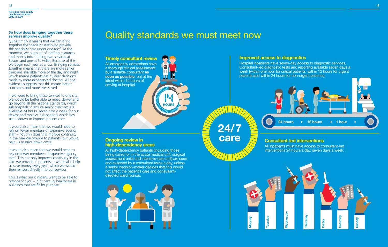**HOURS**

WITZ

**Providing high-quality healthcare services 2020 to 2030**

### **So how does bringing together these services improve quality?**

Quite simply it means that we can bring together the specialist staff who provide this specialist care under one roof. At the moment, we put a lot of staffing resources and money into funding two services at Epsom and one at St Helier. Because of this we begin each year at a loss. Bringing services together means that there are more senior clinicians available more of the day and night which means patients get quicker decisions made by more experienced doctors. All the evidence suggests that this means better outcomes and more lives saved.

If we were to bring these services to one site, we would be better able to meet, deliver and go beyond all the national standards, which ask hospitals to ensure senior clinicians are available 24 hours, seven days a week for our sickest and most at-risk patients which has been shown to improve patient care.

All emergency admissions have a thorough clinical assessment by a suitable consultant **as soon as possible**, but at the latest within 14 hours of arriving at hospital.

It would also mean that we would need to rely on fewer members of expensive agency staff – not only does this improve continuity in the care we provide to patients, but would help us to drive down costs.

It would also mean that we would need to rely on fewer members of expensive agency staff. This not only improves continuity in the care we provide to patients, it would also help us save money every year, which we would then reinvest directly into our services.

This is what our clinicians want to be able to provide for you – 21st century healthcare in buildings that are fit for purpose.

**24/7**

**care**

## Quality standards we must meet now

### **Timely consultant review**

Hospital inpatients have seven-day access to diagnostic services. Consultant-led diagnostic tests and reporting available seven days a week (within one hour for critical patients, within 12 hours for urgent patients and within 24 hours for non-urgent patients).



### **Consultant-led interventions**

All inpatients must have access to consultant-led interventions 24 hours a day, seven days a week.

### **Ongoing review in high-dependency areas**

All high-dependency patients (including those being cared for in the acute medical unit, surgical assessment units and intensive-care unit) are seen and reviewed by a consultant twice a day, unless a senior decision-maker decides that this would not affect the patient's care and consultantdirected ward rounds.





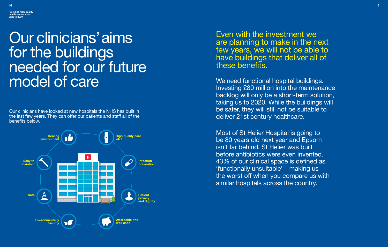

Our clinicians have looked at new hospitals the NHS has built in the last few years. They can offer our patients and staff all of the benefits below.

# Our clinicians' aims for the buildings needed for our future model of care

Even with the investment we are planning to make in the next few years, we will not be able to have buildings that deliver all of these benefits.

We need functional hospital buildings. Investing £80 million into the maintenance backlog will only be a short-term solution, taking us to 2020. While the buildings will be safer, they will still not be suitable to deliver 21st century healthcare.

Most of St Helier Hospital is going to be 80 years old next year and Epsom isn't far behind. St Helier was built before antibiotics were even invented. 43% of our clinical space is defined as 'functionally unsuitable' – making us the worst off when you compare us with similar hospitals across the country.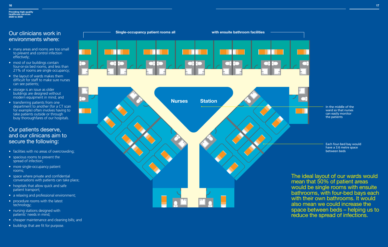

### Our clinicians work in environments where:

### Our patients deserve, and our clinicans aim to secure the following:

- facilities with no areas of overcrowding;
- spacious rooms to prevent the spread of infection;
- more single-occupancy patient rooms;
- space where private and confidential conversations with patients can take place;
- hospitals that allow quick and safe patient transport;
- a relaxing and professional environment;
- procedure rooms with the latest technology;
- nursing stations designed with patients' needs in mind;
- cheaper maintenance and cleaning bills; and
- buildings that are fit for purpose.
- many areas and rooms are too small to prevent and control infection effectively;
- most of our buildings contain four-or-six bed rooms, and less than 21% of rooms are single occupancy;
- the layout of wards makes them difficult for staff to make sure nurses can see patients;
- storage is an issue as older buildings are designed without modern equipment in mind; and
- transferring patients from one department to another (for a CT scan for example) often involves having to take patients outside or through busy thoroughfares of our hospitals.

The ideal layout of our wards would mean that 50% of patient areas would be single rooms with ensuite bathrooms, with four-bed bays each with their own bathrooms. It would also mean we could increase the space between beds – helping us to reduce the spread of infections.

In the middle of the ward so that nurses can easily monitor the patients

Each four-bed bay would have a 3.6 metre space between beds

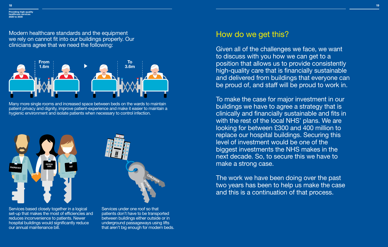Modern healthcare standards and the equipment we rely on cannot fit into our buildings properly. Our clinicians agree that we need the following:

Many more single rooms and increased space between beds on the wards to maintain patient privacy and dignity, improve patient-experience and make it easier to maintain a hygienic environment and isolate patients when necessary to control infection.

**Providing high-qualit healthcare services 2020 to 2030**

Services based closely together in a logical set-up that makes the most of efficiencies and reduces inconvenience to patients. Newer hospital buildings would significantly reduce our annual maintenance bill.

Services under one roof so that patients don't have to be transported between buildings either outside or in underground passageways using lifts that aren't big enough for modern beds.







## How do we get this?

Given all of the challenges we face, we want to discuss with you how we can get to a position that allows us to provide consistently high-quality care that is financially sustainable and delivered from buildings that everyone can be proud of, and staff will be proud to work in.

To make the case for major investment in our buildings we have to agree a strategy that is clinically and financially sustainable and fits in with the rest of the local NHS' plans. We are looking for between £300 and 400 million to replace our hospital buildings. Securing this level of investment would be one of the biggest investments the NHS makes in the next decade. So, to secure this we have to make a strong case.

The work we have been doing over the past two years has been to help us make the case and this is a continuation of that process.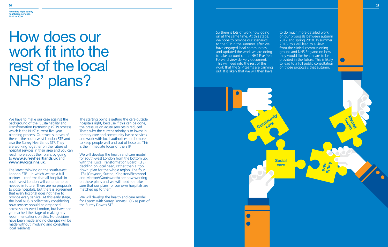# How does our work fit into the rest of the local NHS' plans?

We have to make our case against the background of the 'Sustainability and Transformation Partnership (STP) process which is the NHS' current five-year planning process. Our trust is in two of these – the south-west London STP and also the Surrey Heartlands STP. They are working together on the future of hospital services in their area and you can read more about their plans by going to **www.surreyheartlands.uk** and **www.swlccgs.nhs.uk.**

The latest thinking on the south-west London STP – in which we are a full partner – confirms that all hospitals in south-west London will continue to be needed in future. There are no proposals to close hospitals, but there is agreement that every hospital does not have to provide every service. At this early stage, the local NHS is collectively considering how services should be organised across south-west London, but have not yet reached the stage of making any recommendations on this. No decisions have been made and no changes will be made without involving and consulting local residents.

The starting point is getting the care outside hospitals right, because if this can be done. the pressure on acute services is reduced. That's why the current priority is to invest in primary-care and community-based services and work with local authorities to do more to keep people well and out of hospital. This is the immediate focus of the STP.

We will develop the health and care model for south-west London from the bottom up, with the 'Local Transformation Board' (LTB) deciding on local need, rather than a 'top down' plan for the whole region. The four LTBs (Croydon, Sutton, Kingston/Richmond and Merton/Wandsworth) are now working on these plans and we will need to make sure that our plans for our own hospitals are matched up to them.

We will develop the health and care model for Epsom with Surrey Downs CCG as part of the Surrey Downs STP.

So there is lots of work now going on at the same time. At this stage, we hope to provide our scenarios to the STP in the summer, after we have engaged local communities and updated the work we are doing to take account of the NHS Five Year Forward view delivery document. This will feed into the rest of the work that the STP teams are carrying out. It is likely that we will then have

to do much more detailed work on our proposals between autumn 2017 and spring 2018. In summer 2018, this will lead to a view from the clinical commissioning groups and NHS England on how they would like healthcare to be provided in the future. This is likely to lead to a full public consultation on those proposals that autumn.

### **Providing high-quality healthcare services 2020 to 2030**

 **care Acute**

**Mealth** 

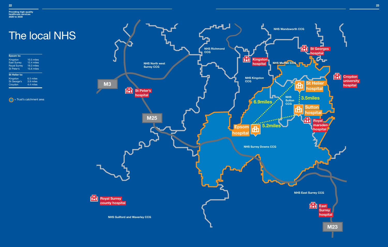

### The local NHS **NHS Richmond CCG Epsom to: Kingston** Kingston 10.5 miles<br>East Surrey 12.4 miles East Surrey 12.4 miles<br>Royal Surrey 19.3 miles **hospital NHS North west**  Royal Surrey 19.3 miles **Surrey CCG** St Peter's 15.6 miles **St Helier to: NHS Kingston**  Kingston 6.5 miles **CCG** 3.9 miles<br>4.4 miles St George's<br>Croydon **M3 St Peter's hospital O** = Trust's catchment area **6.9miles M25 5.2miles Epsom** ñ **hospital NHS Surrey Downs CCG** 曲 **Royal Surrey county hospital NHS Guilford and Waverley CCG**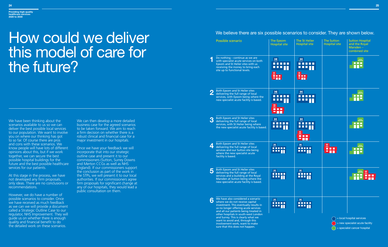# How could we deliver this model of care for the future?

We have been thinking about the scenarios available to us so we can deliver the best possible local services to our population. We want to involve you on where our thinking has got to so far. Of course there are pros and cons with these scenarios. We know people will have lots of different opinions about this, but if we work together, we can secure the best possible hospital buildings for the future and the best possible healthcare services for our patients.

At this stage in the process, we have not developed any firm proposals, only ideas. There are no conclusions or recommendations.

However, we do have a number of possible scenarios to consider. Once we have received as much feedback as we can we will provide a document called a Strategic Outline Case to our regulator, NHS Improvement. They will guide us on whether there is enough quality and financial benefit to do the detailed work on these scenarios.

We can then develop a more detailed business case for the agreed scenarios to be taken forward. We aim to reach a firm decision on whether there is a robust clinical and financial case for a major investment in our hospitals.

Once we have your feedback we will incorporate that into our strategic outline case and present it to our commissioners (Sutton, Surrey Downs and Merton CCGs as well as NHS England). If our commissioners support the conclusion as part of the work in the STPs, we will present it to our local authorities. If our commissioners agree firm proposals for significant change at any of our hospitals, they would lead a public consultation on them.

### We believe there are six possible scenarios to consider. They are shown below.

|          | Possible scenario                                                                                                                                                                                                                                                                                                  | The Epsom<br><b>Hospital site</b>                                                                                               | <b>The St Helier</b><br><b>Hospital site</b>                                                                           | The Sutton<br><b>Hospital site</b>                                                                  | <b>Sutton Hospital</b><br>and the Royal<br>Marsden-<br>combined site |
|----------|--------------------------------------------------------------------------------------------------------------------------------------------------------------------------------------------------------------------------------------------------------------------------------------------------------------------|---------------------------------------------------------------------------------------------------------------------------------|------------------------------------------------------------------------------------------------------------------------|-----------------------------------------------------------------------------------------------------|----------------------------------------------------------------------|
|          | Do nothing - continue as we are<br>with specialist acute services on both<br>Epsom and St Helier sites with us<br>receiving the money to bring each<br>site up to functional levels.                                                                                                                               | H <sub>other</sub><br>oonoo<br>Ë T T                                                                                            | $H_{\text{plstract}}$<br>▉▉▉                                                                                           |                                                                                                     | ROYAL<br>MARSDE<br>n min                                             |
| $\bf{2}$ | Both Epsom and St Helier sites<br>delivering the full range of local<br>services, with Epsom being where the<br>new specialist acute facility is based.                                                                                                                                                            | $H_{\text{DISTRICT}}$<br>.<br>$\begin{array}{c}\n\hline\nH \\ \stackrel{\text{ARE}}{\text{ACUTE}}\n\end{array}$<br>n min<br>g m | $H_{\text{plstract}}$<br><b>.</b><br>n a an                                                                            |                                                                                                     | <b>ROYAL</b><br>MARSDE                                               |
| 3        | <b>Both Epsom and St Helier sites</b><br>delivering the full range of local<br>services, with St Helier being where<br>the new specialist acute facility is based.                                                                                                                                                 | $\mathbf{H}$<br><b>REFER</b><br><u>.</u>                                                                                        | $H_{\text{b}}$<br>.<br>$\begin{array}{c}\n\mathbf{H} \\ \text{ASE} \\ \text{ACUTE}\n\end{array}$<br>---<br><b>an</b> n |                                                                                                     | <b>ROYAL</b><br>MARSDE                                               |
| 4        | Both Epsom and St Helier sites<br>delivering the full range of local<br>services and our Sutton site being<br>where the new specialist acute<br>facility is based.                                                                                                                                                 | $H_{\text{inter}}$<br>n n n n n<br>▁▁▁                                                                                          | $H_{\text{inter}}$<br>-----<br><u>L L L</u>                                                                            | $\begin{array}{c}\n\mathbf{H} \\ \hline\n\end{array}\n\qquad \qquad \mathbf{H} = \mathbf{H}$<br>m p | ROYAL<br>MARSDEI                                                     |
|          | Both Epsom and St Helier sites<br>delivering the full range of local<br>services and a building at the Royal<br>Marsden at Sutton being where the<br>new specialist acute facility is based.                                                                                                                       | $H_{\text{inter}}$<br><u>.</u><br>$\blacksquare$ $\blacksquare$ $\blacksquare$                                                  | $H_{\text{inter}}$<br><b>.</b><br><u>e atr</u>                                                                         |                                                                                                     | $\frac{H}{\text{ASE}^{\prime}}$<br><b>COLLE</b>                      |
| 6        | We have also considered a scenario<br>where we do not receive capital<br>investment. This eventually results in<br>us no longer offering acute services<br>and all our patients being treated in<br>other hospitals in south-west London<br>and Surrey. This is clearly what we<br>want to avoid and, through this | $H_{\text{osmor}}$<br>mm                                                                                                        | $H_{\text{onstr}}$<br><br>.                                                                                            |                                                                                                     | = local hospital services                                            |

involvement work, want to make sure that this does not happen.

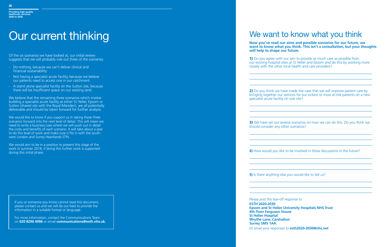# Our current thinking We want to know what you think

**Now you've read our aims and possible scenarios for our future, we want to know what you think. This isn't a consultation, but your thoughts will help to shape our future.**

1) Do you agree with our aim to provide as much care as possible from our existing hospital sites at St Helier and Epsom and do this by working more closely with the other local health and care providers?

2) Do you think we have made the case that we will improve patient care by bringing together our services for our sickest or most at-risk patients on a new specialist acute facility on one site?

**3)** We have set out several scenarios on how we can do this. Do you think we should consider any other scenarios?

**5)** Is there anything else you would like to tell us?

**4)** How would you like to be involved in these discussions in the future?

Please post this tear-off response to: **ESTH 2020-2030 Epsom and St Helier University Hospitals NHS Trust 4th Floor Ferguson House St Helier Hospital Wrythe Lane, Carshalton Surrey SM5 1AA.** Or email your responses to **esth2020-2030@nhs.net**

We would like to know if you support us in taking these three scenarios forward into the next level of detail. This will mean we need to write a business case where we will work out in detail the costs and benefits of each scenario. It will take about a year to do this level of work and make sure it fits in with the southwest London and Surrey Heartlands STPs.

We would aim to be in a position to present this stage of the work in summer 2018, if doing this further work is supported during this initial phase.

Of the six scenarios we have looked at, our initial review suggests that we will probably rule out three of the scenarios:

- Do nothing, because we can't deliver clinical and financial sustainability.
- Not having a specialist acute facility, because we believe our patients need to access one in our catchment.
- A stand alone specialist facility on the Sutton site, because there will be insufficient space on our existing land.

We believe that the remaining three scenarios which involve building a specialist acute facility at either St Helier, Epsom or Sutton (shared site with the Royal Marsden), are all potentially deliverable and should be taken forward for further analysis.

If you or someone you know cannot read this document, please contact us and we will do our best to provide the information in a suitable format or language.

For more information, contact the Communications Team on **020 8296 4996** or email **communications@esth.nhs.uk.**